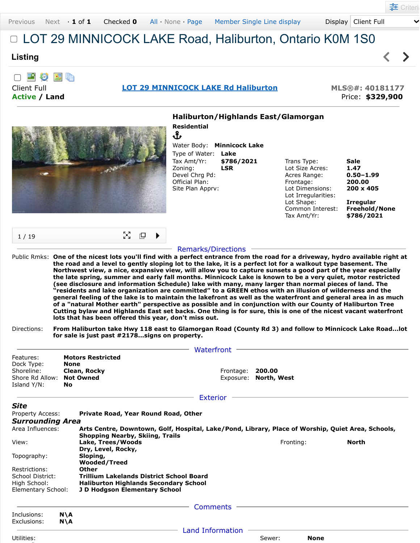$\blacktriangleleft$ 

 $\blacktriangleright$ 

## LOT 29 MINNICOCK LAKE Road, Haliburton, Ontario K0M 1S0

## **Listing**

| 「「「」 「」 「」 「」 「」 「」 「」 「」 「」 「」 「」



**Active / Land** Price: **\$329,900**

## **Haliburton/Highlands East/Glamorgan Residential** Ֆ Water Body: **Minnicock Lake** Type of Water: **Lake** Tax Amt/Yr: **\$786/2021** Trans Type: **Sale** Zoning: **LSR** Lot Size Acres: **1.47** Devel Chrg Pd: Acres Range: **0.50–1.99** Frontage: **200.00** Official Plan: Site Plan Apprv: Lot Dimensions: **200 x 405** Lot Irregularities: Lot Shape: **Irregular Freehold/None** Tax Amt/Yr: **\$786/2021** M. ſQ. 1 / 19 Remarks/Directions Public Rmks: **One of the nicest lots you'll find with a perfect entrance from the road for a driveway, hydro available right at the road and a level to gently sloping lot to the lake, it is a perfect lot for a walkout type basement. The Northwest view, a nice, expansive view, will allow you to capture sunsets a good part of the year especially the late spring, summer and early fall months. Minnicock Lake is known to be a very quiet, motor restricted (see disclosure and information Schedule) lake with many, many larger than normal pieces of land. The "residents and lake organization are committed" to a GREEN ethos with an illusion of wilderness and the general feeling of the lake is to maintain the lakefront as well as the waterfront and general area in as much of a "natural Mother earth" perspective as possible and in conjunction with our County of Haliburton Tree Cutting bylaw and Highlands East set backs. One thing is for sure, this is one of the nicest vacant waterfront lots that has been offered this year, don't miss out.** Directions: **From Haliburton take Hwy 118 east to Glamorgan Road (County Rd 3) and follow to Minnicock Lake Road...lot for sale is just past #2178...signs on property.**  $-$  Waterfront  $-$ Features: **Motors Restricted** Dock Type: **None** Shoreline: **Clean, Rocky Frontage: 200.00** Shore Rd Allow: **Not Owned** Exposure: **North, West** Island Y/N: **No** - Exterior – *Site* Property Access: **Private Road, Year Round Road, Other** *Surrounding Area* Area Influences: **Arts Centre, Downtown, Golf, Hospital, Lake/Pond, Library, Place of Worship, Quiet Area, Schools, Shopping Nearby, Skiing, Trails** View: **Lake, Trees/Woods Fronting: North Routing: North Dry, Level, Rocky, Sloping,** Topography: **Wooded/Treed** Restrictions: **Other** School District: **Trillium Lakelands District School Board** High School: **Haliburton Highlands Secondary School**

Elementary School: **J D Hodgson Elementary School**

Inclusions: **N\A**<br>Exclusions: **N\A** Exclusions: Comments

Utilities: Sewer: **None**

 $\sim$ 

- Land Information -